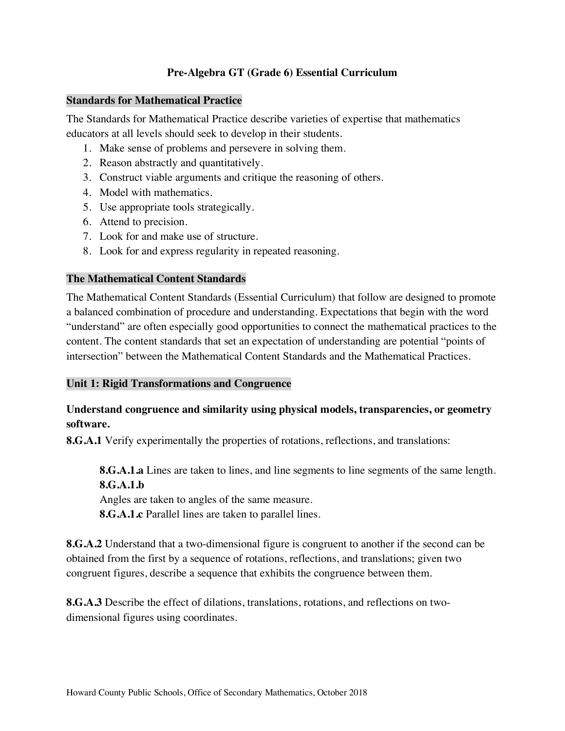### **Pre-Algebra GT (Grade 6) Essential Curriculum**

#### **Standards for Mathematical Practice**

 The Standards for Mathematical Practice describe varieties of expertise that mathematics educators at all levels should seek to develop in their students.

- 1. Make sense of problems and persevere in solving them.
- 2. Reason abstractly and quantitatively.
- 3. Construct viable arguments and critique the reasoning of others.
- 4. Model with mathematics.
- 5. Use appropriate tools strategically.
- 6. Attend to precision.
- 7. Look for and make use of structure.
- 8. Look for and express regularity in repeated reasoning.

#### **The Mathematical Content Standards**

 The Mathematical Content Standards (Essential Curriculum) that follow are designed to promote a balanced combination of procedure and understanding. Expectations that begin with the word "understand" are often especially good opportunities to connect the mathematical practices to the content. The content standards that set an expectation of understanding are potential "points of intersection" between the Mathematical Content Standards and the Mathematical Practices.

#### **Unit 1: Rigid Transformations and Congruence**

## **Understand congruence and similarity using physical models, transparencies, or geometry software.**

**8.G.A.1** Verify experimentally the properties of rotations, reflections, and translations:

 **8.G.A.1.a** Lines are taken to lines, and line segments to line segments of the same length. **8.G.A.1.b** 

Angles are taken to angles of the same measure.

**8.G.A.1.c** Parallel lines are taken to parallel lines.

 **8.G.A.2** Understand that a two-dimensional figure is congruent to another if the second can be obtained from the first by a sequence of rotations, reflections, and translations; given two congruent figures, describe a sequence that exhibits the congruence between them.

 **8.G.A.3** Describe the effect of dilations, translations, rotations, and reflections on two-dimensional figures using coordinates.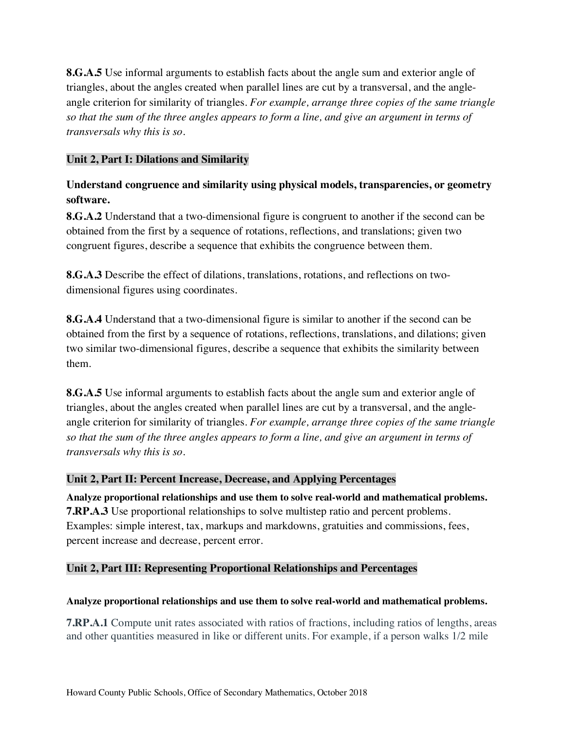**8.G.A.5** Use informal arguments to establish facts about the angle sum and exterior angle of triangles, about the angles created when parallel lines are cut by a transversal, and the angle- angle criterion for similarity of triangles. *For example, arrange three copies of the same triangle so that the sum of the three angles appears to form a line, and give an argument in terms of transversals why this is so*.

#### **Unit 2, Part I: Dilations and Similarity**

# **Understand congruence and similarity using physical models, transparencies, or geometry software.**

 **8.G.A.2** Understand that a two-dimensional figure is congruent to another if the second can be obtained from the first by a sequence of rotations, reflections, and translations; given two congruent figures, describe a sequence that exhibits the congruence between them.

 **8.G.A.3** Describe the effect of dilations, translations, rotations, and reflections on two-dimensional figures using coordinates.

 **8.G.A.4** Understand that a two-dimensional figure is similar to another if the second can be obtained from the first by a sequence of rotations, reflections, translations, and dilations; given two similar two-dimensional figures, describe a sequence that exhibits the similarity between them.

 **8.G.A.5** Use informal arguments to establish facts about the angle sum and exterior angle of triangles, about the angles created when parallel lines are cut by a transversal, and the angle- angle criterion for similarity of triangles. *For example, arrange three copies of the same triangle so that the sum of the three angles appears to form a line, and give an argument in terms of transversals why this is so*.

#### **Unit 2, Part II: Percent Increase, Decrease, and Applying Percentages**

 **Analyze proportional relationships and use them to solve real-world and mathematical problems. 7.RP.A.3** Use proportional relationships to solve multistep ratio and percent problems. Examples: simple interest, tax, markups and markdowns, gratuities and commissions, fees, percent increase and decrease, percent error.

## **Unit 2, Part III: Representing Proportional Relationships and Percentages**

#### **Analyze proportional relationships and use them to solve real-world and mathematical problems.**

 **7.RP.A.1** Compute unit rates associated with ratios of fractions, including ratios of lengths, areas and other quantities measured in like or different units. For example, if a person walks 1/2 mile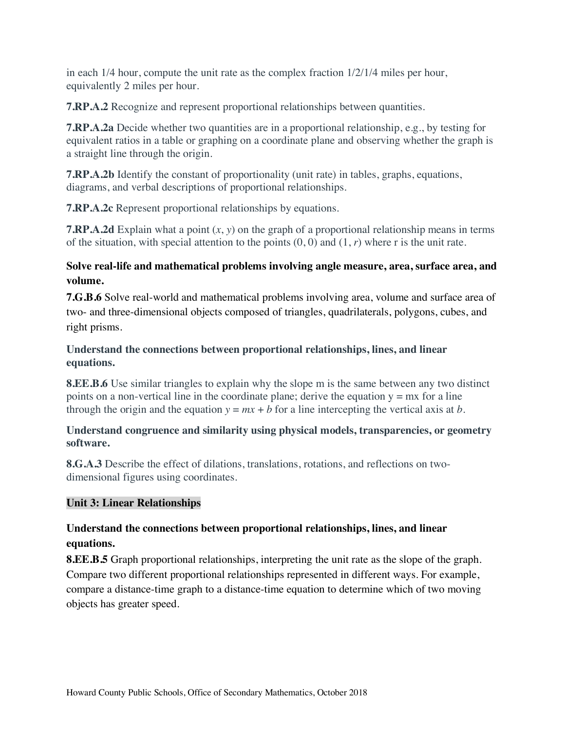in each 1/4 hour, compute the unit rate as the complex fraction 1/2/1/4 miles per hour, equivalently 2 miles per hour.

**7.RP.A.2** Recognize and represent proportional relationships between quantities.

 **[7.RP.A.2a](https://7.RP.A.2a)** Decide whether two quantities are in a proportional relationship, e.g., by testing for equivalent ratios in a table or graphing on a coordinate plane and observing whether the graph is a straight line through the origin.

 **[7.RP.A.2b](https://7.RP.A.2b)** Identify the constant of proportionality (unit rate) in tables, graphs, equations, diagrams, and verbal descriptions of proportional relationships.

**[7.RP.A.2c](https://7.RP.A.2c)** Represent proportional relationships by equations.

 **[7.RP.A.2d](https://7.RP.A.2d)** Explain what a point (*x*, *y*) on the graph of a proportional relationship means in terms of the situation, with special attention to the points (0, 0) and (1, *r*) where r is the unit rate.

## **Solve real-life and mathematical problems involving angle measure, area, surface area, and volume.**

 **7.G.B.6** Solve real-world and mathematical problems involving area, volume and surface area of two- and three-dimensional objects composed of triangles, quadrilaterals, polygons, cubes, and right prisms.

## **Understand the connections between proportional relationships, lines, and linear equations.**

 **8.EE.B.6** Use similar triangles to explain why the slope m is the same between any two distinct points on a non-vertical line in the coordinate plane; derive the equation  $y = mx$  for a line through the origin and the equation  $y = mx + b$  for a line intercepting the vertical axis at *b*.

## **Understand congruence and similarity using physical models, transparencies, or geometry software.**

 **8.G.A.3** Describe the effect of dilations, translations, rotations, and reflections on two-dimensional figures using coordinates.

## **Unit 3: Linear Relationships**

# **Understand the connections between proportional relationships, lines, and linear equations.**

 **8.EE.B.5** Graph proportional relationships, interpreting the unit rate as the slope of the graph. Compare two different proportional relationships represented in different ways. For example, compare a distance-time graph to a distance-time equation to determine which of two moving objects has greater speed.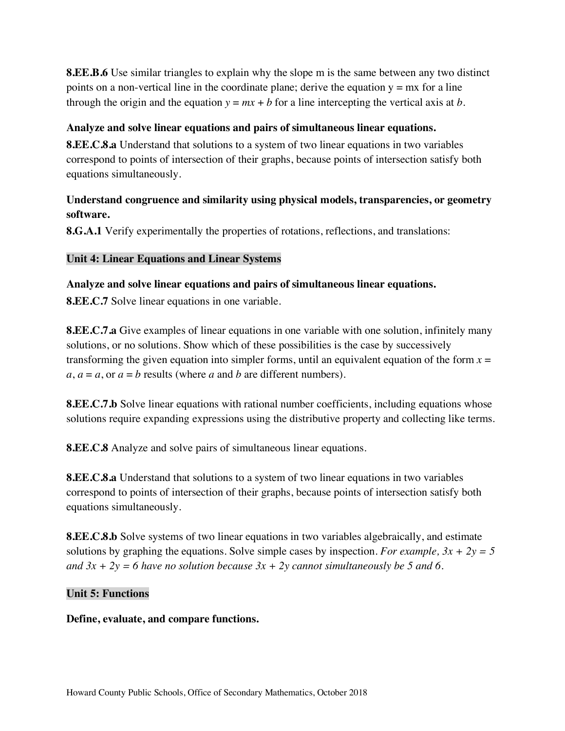**8.EE.B.6** Use similar triangles to explain why the slope m is the same between any two distinct points on a non-vertical line in the coordinate plane; derive the equation y = mx for a line through the origin and the equation  $y = mx + b$  for a line intercepting the vertical axis at *b*.

## **Analyze and solve linear equations and pairs of simultaneous linear equations.**

 **8.EE.C.8.a** Understand that solutions to a system of two linear equations in two variables correspond to points of intersection of their graphs, because points of intersection satisfy both equations simultaneously.

## **Understand congruence and similarity using physical models, transparencies, or geometry software.**

**8.G.A.1** Verify experimentally the properties of rotations, reflections, and translations:

#### **Unit 4: Linear Equations and Linear Systems**

 **Analyze and solve linear equations and pairs of simultaneous linear equations. 8.EE.C.7** Solve linear equations in one variable.

 **8.EE.C.7.a** Give examples of linear equations in one variable with one solution, infinitely many solutions, or no solutions. Show which of these possibilities is the case by successively transforming the given equation into simpler forms, until an equivalent equation of the form  $x =$  $a, a = a$ , or  $a = b$  results (where  $a$  and  $b$  are different numbers).

 **8.EE.C.7.b** Solve linear equations with rational number coefficients, including equations whose solutions require expanding expressions using the distributive property and collecting like terms.

**8.EE.C.8** Analyze and solve pairs of simultaneous linear equations.

 **8.EE.C.8.a** Understand that solutions to a system of two linear equations in two variables correspond to points of intersection of their graphs, because points of intersection satisfy both equations simultaneously.

 **8.EE.C.8.b** Solve systems of two linear equations in two variables algebraically, and estimate solutions by graphing the equations. Solve simple cases by inspection. *For example, 3x + 2y = 5*  and  $3x + 2y = 6$  have no solution because  $3x + 2y$  cannot simultaneously be 5 and 6.

#### **Unit 5: Functions**

**Define, evaluate, and compare functions.**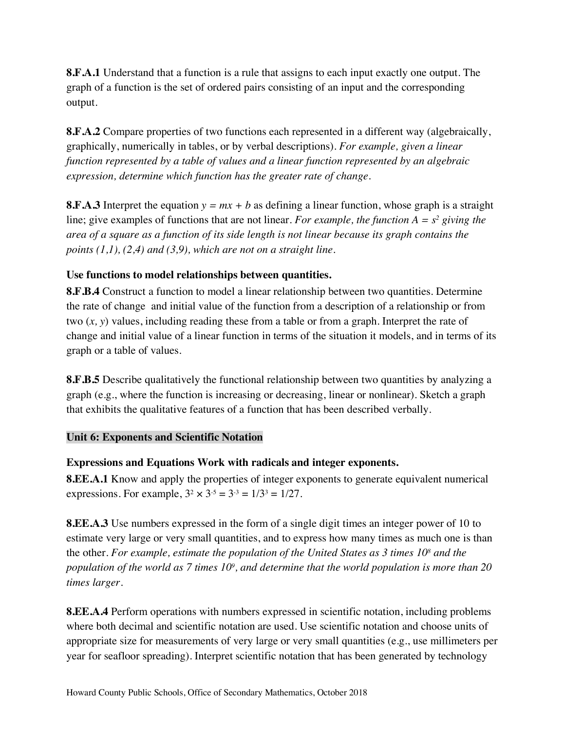**8.F.A.1** Understand that a function is a rule that assigns to each input exactly one output. The graph of a function is the set of ordered pairs consisting of an input and the corresponding output.

 **8.F.A.2** Compare properties of two functions each represented in a different way (algebraically, graphically, numerically in tables, or by verbal descriptions). *For example, given a linear function represented by a table of values and a linear function represented by an algebraic expression, determine which function has the greater rate of change*.

 **8.F.A.3** Interpret the equation *y = mx + b* as defining a linear function, whose graph is a straight line; give examples of functions that are not linear. *For example, the function A = s2 giving the area of a square as a function of its side length is not linear because its graph contains the points (1,1), (2,4) and (3,9), which are not on a straight line*.

## **Use functions to model relationships between quantities.**

 **8.F.B.4** Construct a function to model a linear relationship between two quantities. Determine the rate of change and initial value of the function from a description of a relationship or from two (*x, y*) values, including reading these from a table or from a graph. Interpret the rate of change and initial value of a linear function in terms of the situation it models, and in terms of its graph or a table of values.

 **8.F.B.5** Describe qualitatively the functional relationship between two quantities by analyzing a graph (e.g., where the function is increasing or decreasing, linear or nonlinear). Sketch a graph that exhibits the qualitative features of a function that has been described verbally.

## **Unit 6: Exponents and Scientific Notation**

## **Expressions and Equations Work with radicals and integer exponents.**

 **8.EE.A.1** Know and apply the properties of integer exponents to generate equivalent numerical expressions. For example,  $3^2 \times 3^{5} = 3^{3} = 1/3^{3} = 1/27$ .

 **8.EE.A.3** Use numbers expressed in the form of a single digit times an integer power of 10 to estimate very large or very small quantities, and to express how many times as much one is than the other. *For example, estimate the population of the United States as 3 times 108 and the population of the world as 7 times 109 , and determine that the world population is more than 20 times larger*.

 **8.EE.A.4** Perform operations with numbers expressed in scientific notation, including problems where both decimal and scientific notation are used. Use scientific notation and choose units of appropriate size for measurements of very large or very small quantities (e.g., use millimeters per year for seafloor spreading). Interpret scientific notation that has been generated by technology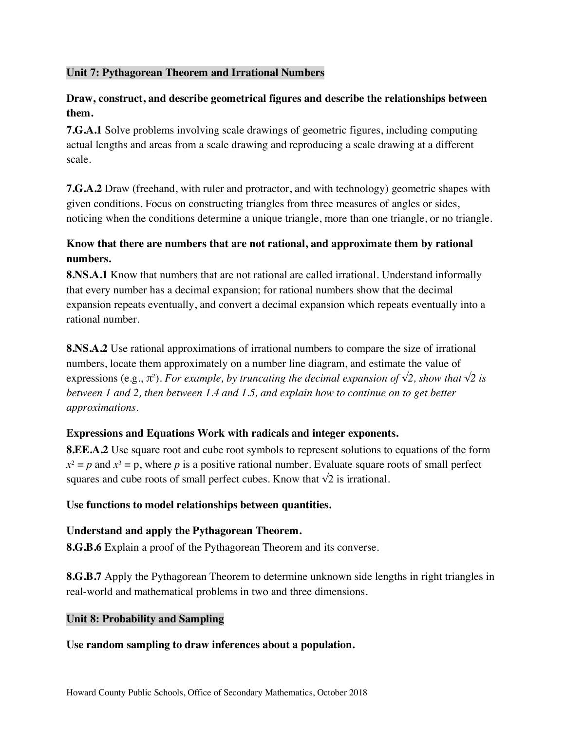## **Unit 7: Pythagorean Theorem and Irrational Numbers**

# **Draw, construct, and describe geometrical figures and describe the relationships between them.**

 **7.G.A.1** Solve problems involving scale drawings of geometric figures, including computing actual lengths and areas from a scale drawing and reproducing a scale drawing at a different scale.

 **7.G.A.2** Draw (freehand, with ruler and protractor, and with technology) geometric shapes with given conditions. Focus on constructing triangles from three measures of angles or sides, noticing when the conditions determine a unique triangle, more than one triangle, or no triangle.

# **Know that there are numbers that are not rational, and approximate them by rational numbers.**

 **8.NS.A.1** Know that numbers that are not rational are called irrational. Understand informally that every number has a decimal expansion; for rational numbers show that the decimal expansion repeats eventually, and convert a decimal expansion which repeats eventually into a rational number.

 **8.NS.A.2** Use rational approximations of irrational numbers to compare the size of irrational numbers, locate them approximately on a number line diagram, and estimate the value of expressions (e.g.,  $\pi^2$ ). *For example, by truncating the decimal expansion of*  $\sqrt{2}$ *, show that*  $\sqrt{2}$  *is between 1 and 2, then between 1.4 and 1.5, and explain how to continue on to get better approximations*.

# **Expressions and Equations Work with radicals and integer exponents.**

 **8.EE.A.2** Use square root and cube root symbols to represent solutions to equations of the form  $x^2 = p$  and  $x^3 = p$ , where *p* is a positive rational number. Evaluate square roots of small perfect squares and cube roots of small perfect cubes. Know that  $\sqrt{2}$  is irrational.

## **Use functions to model relationships between quantities.**

## **Understand and apply the Pythagorean Theorem.**

**8.G.B.6** Explain a proof of the Pythagorean Theorem and its converse.

 **8.G.B.7** Apply the Pythagorean Theorem to determine unknown side lengths in right triangles in real-world and mathematical problems in two and three dimensions.

## **Unit 8: Probability and Sampling**

#### **Use random sampling to draw inferences about a population.**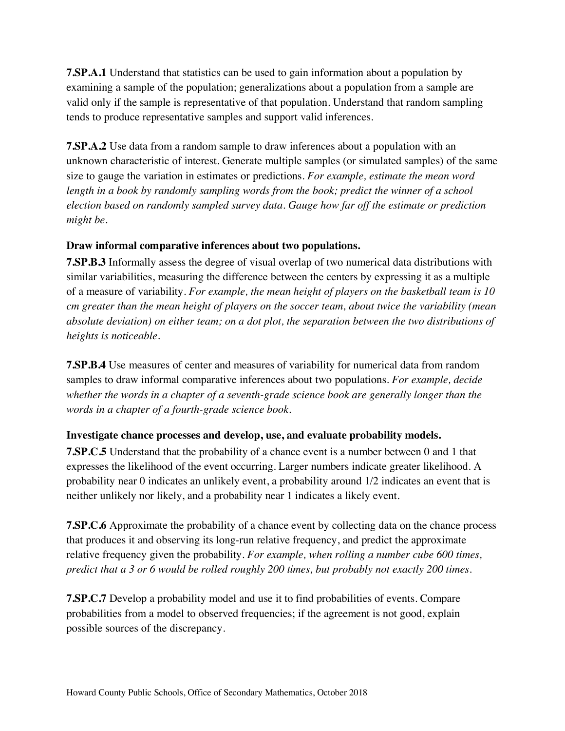**7.SP.A.1** Understand that statistics can be used to gain information about a population by examining a sample of the population; generalizations about a population from a sample are valid only if the sample is representative of that population. Understand that random sampling tends to produce representative samples and support valid inferences.

 **7.SP.A.2** Use data from a random sample to draw inferences about a population with an unknown characteristic of interest. Generate multiple samples (or simulated samples) of the same size to gauge the variation in estimates or predictions. *For example, estimate the mean word*  length in a book by randomly sampling words from the book; predict the winner of a school  *election based on randomly sampled survey data. Gauge how far off the estimate or prediction might be*.

## **Draw informal comparative inferences about two populations.**

 **7.SP.B.3** Informally assess the degree of visual overlap of two numerical data distributions with similar variabilities, measuring the difference between the centers by expressing it as a multiple of a measure of variability. *For example, the mean height of players on the basketball team is 10 cm greater than the mean height of players on the soccer team, about twice the variability (mean absolute deviation) on either team; on a dot plot, the separation between the two distributions of heights is noticeable*.

 **7.SP.B.4** Use measures of center and measures of variability for numerical data from random samples to draw informal comparative inferences about two populations. *For example, decide whether the words in a chapter of a seventh-grade science book are generally longer than the words in a chapter of a fourth-grade science book*.

# **Investigate chance processes and develop, use, and evaluate probability models.**

 **7.SP.C.5** Understand that the probability of a chance event is a number between 0 and 1 that expresses the likelihood of the event occurring. Larger numbers indicate greater likelihood. A probability near 0 indicates an unlikely event, a probability around 1/2 indicates an event that is neither unlikely nor likely, and a probability near 1 indicates a likely event.

 **7.SP.C.6** Approximate the probability of a chance event by collecting data on the chance process that produces it and observing its long-run relative frequency, and predict the approximate relative frequency given the probability. *For example, when rolling a number cube 600 times, predict that a 3 or 6 would be rolled roughly 200 times, but probably not exactly 200 times*.

 **7.SP.C.7** Develop a probability model and use it to find probabilities of events. Compare probabilities from a model to observed frequencies; if the agreement is not good, explain possible sources of the discrepancy.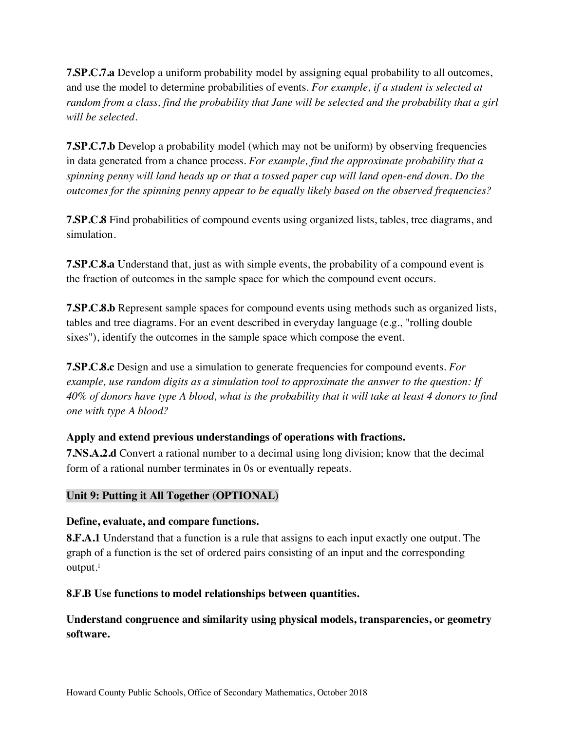**7.SP.C.7.a** Develop a uniform probability model by assigning equal probability to all outcomes, and use the model to determine probabilities of events. *For example, if a student is selected at random from a class, find the probability that Jane will be selected and the probability that a girl will be selected*.

 **7.SP.C.7.b** Develop a probability model (which may not be uniform) by observing frequencies in data generated from a chance process. *For example, find the approximate probability that a spinning penny will land heads up or that a tossed paper cup will land open-end down. Do the outcomes for the spinning penny appear to be equally likely based on the observed frequencies?* 

 **7.SP.C.8** Find probabilities of compound events using organized lists, tables, tree diagrams, and simulation.

 **7.SP.C.8.a** Understand that, just as with simple events, the probability of a compound event is the fraction of outcomes in the sample space for which the compound event occurs.

 **7.SP.C.8.b** Represent sample spaces for compound events using methods such as organized lists, tables and tree diagrams. For an event described in everyday language (e.g., "rolling double sixes"), identify the outcomes in the sample space which compose the event.

 **7.SP.C.8.c** Design and use a simulation to generate frequencies for compound events. *For*  example, use random digits as a simulation tool to approximate the answer to the question: If  *40% of donors have type A blood, what is the probability that it will take at least 4 donors to find one with type A blood?* 

# **Apply and extend previous understandings of operations with fractions.**

 **7.NS.A.2.d** Convert a rational number to a decimal using long division; know that the decimal form of a rational number terminates in 0s or eventually repeats.

## **Unit 9: Putting it All Together (OPTIONAL)**

## **Define, evaluate, and compare functions.**

 **8.F.A.1** Understand that a function is a rule that assigns to each input exactly one output. The graph of a function is the set of ordered pairs consisting of an input and the corresponding output.<sup>1</sup>

## **8.F.B Use functions to model relationships between quantities.**

**Understand congruence and similarity using physical models, transparencies, or geometry software.**